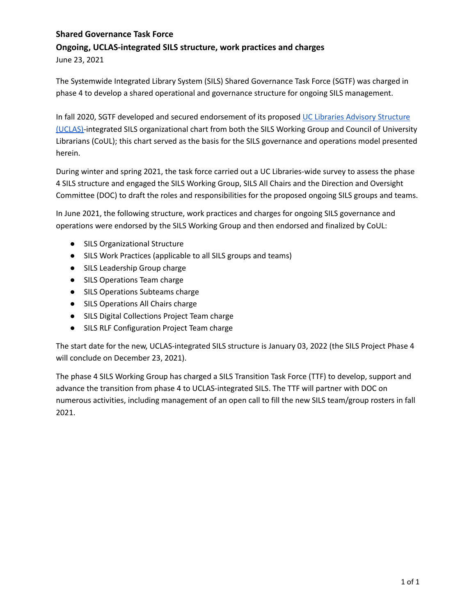# **Shared Governance Task Force Ongoing, UCLAS-integrated SILS structure, work practices and charges**

June 23, 2021

The Systemwide Integrated Library System (SILS) Shared Governance Task Force (SGTF) was charged in phase 4 to develop a shared operational and governance structure for ongoing SILS management.

In fall 2020, SGTF developed and secured endorsement of its proposed UC Libraries Advisory [Structure](https://libraries.universityofcalifornia.edu/groups/files/about/docs/UCLAS_org_chart.pdf) [\(UCLAS\)-](https://libraries.universityofcalifornia.edu/groups/files/about/docs/UCLAS_org_chart.pdf)integrated SILS organizational chart from both the SILS Working Group and Council of University Librarians (CoUL); this chart served as the basis for the SILS governance and operations model presented herein.

During winter and spring 2021, the task force carried out a UC Libraries-wide survey to assess the phase 4 SILS structure and engaged the SILS Working Group, SILS All Chairs and the Direction and Oversight Committee (DOC) to draft the roles and responsibilities for the proposed ongoing SILS groups and teams.

In June 2021, the following structure, work practices and charges for ongoing SILS governance and operations were endorsed by the SILS Working Group and then endorsed and finalized by CoUL:

- SILS Organizational Structure
- SILS Work Practices (applicable to all SILS groups and teams)
- SILS Leadership Group charge
- SILS Operations Team charge
- SILS Operations Subteams charge
- SILS Operations All Chairs charge
- SILS Digital Collections Project Team charge
- SILS RLF Configuration Project Team charge

The start date for the new, UCLAS-integrated SILS structure is January 03, 2022 (the SILS Project Phase 4 will conclude on December 23, 2021).

The phase 4 SILS Working Group has charged a SILS Transition Task Force (TTF) to develop, support and advance the transition from phase 4 to UCLAS-integrated SILS. The TTF will partner with DOC on numerous activities, including management of an open call to fill the new SILS team/group rosters in fall 2021.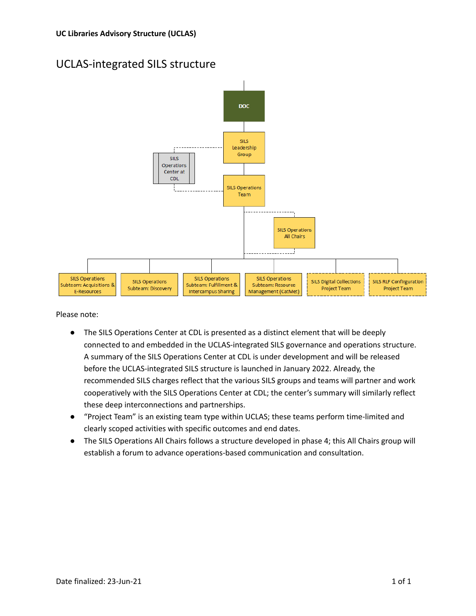## UCLAS-integrated SILS structure



Please note:

- The SILS Operations Center at CDL is presented as a distinct element that will be deeply connected to and embedded in the UCLAS-integrated SILS governance and operations structure. A summary of the SILS Operations Center at CDL is under development and will be released before the UCLAS-integrated SILS structure is launched in January 2022. Already, the recommended SILS charges reflect that the various SILS groups and teams will partner and work cooperatively with the SILS Operations Center at CDL; the center's summary will similarly reflect these deep interconnections and partnerships.
- "Project Team" is an existing team type within UCLAS; these teams perform time-limited and clearly scoped activities with specific outcomes and end dates.
- The SILS Operations All Chairs follows a structure developed in phase 4; this All Chairs group will establish a forum to advance operations-based communication and consultation.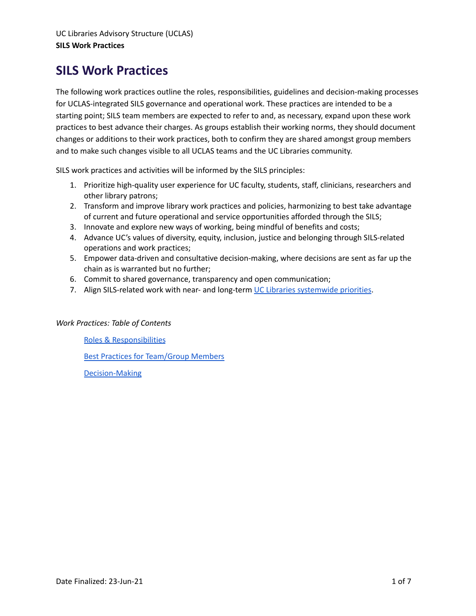# **SILS Work Practices**

The following work practices outline the roles, responsibilities, guidelines and decision-making processes for UCLAS-integrated SILS governance and operational work. These practices are intended to be a starting point; SILS team members are expected to refer to and, as necessary, expand upon these work practices to best advance their charges. As groups establish their working norms, they should document changes or additions to their work practices, both to confirm they are shared amongst group members and to make such changes visible to all UCLAS teams and the UC Libraries community.

SILS work practices and activities will be informed by the SILS principles:

- 1. Prioritize high-quality user experience for UC faculty, students, staff, clinicians, researchers and other library patrons;
- 2. Transform and improve library work practices and policies, harmonizing to best take advantage of current and future operational and service opportunities afforded through the SILS;
- 3. Innovate and explore new ways of working, being mindful of benefits and costs;
- 4. Advance UC's values of diversity, equity, inclusion, justice and belonging through SILS-related operations and work practices;
- 5. Empower data-driven and consultative decision-making, where decisions are sent as far up the chain as is warranted but no further;
- 6. Commit to shared governance, transparency and open communication;
- 7. Align SILS-related work with near- and long-term UC Libraries [systemwide](https://libraries.universityofcalifornia.edu/about/vision-and-priorities) priorities.

## *Work Practices: Table of Contents*

Roles & [Responsibilities](#page-3-0)

Best Practices for [Team/Group](#page-5-0) Members

[Decision-Making](#page-6-0)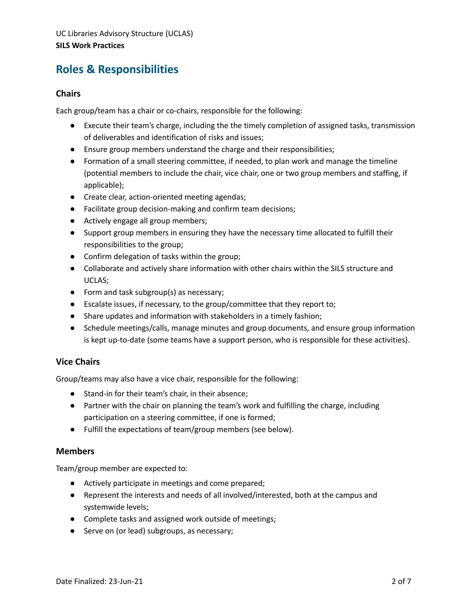## <span id="page-3-0"></span>**Roles & Responsibilities**

#### **Chairs**

Each group/team has a chair or co-chairs, responsible for the following:

- Execute their team's charge, including the the timely completion of assigned tasks, transmission of deliverables and identification of risks and issues;
- Ensure group members understand the charge and their responsibilities;
- Formation of a small steering committee, if needed, to plan work and manage the timeline (potential members to include the chair, vice chair, one or two group members and staffing, if applicable);
- Create clear, action-oriented meeting agendas;
- Facilitate group decision-making and confirm team decisions;
- Actively engage all group members;
- Support group members in ensuring they have the necessary time allocated to fulfill their responsibilities to the group;
- Confirm delegation of tasks within the group;
- Collaborate and actively share information with other chairs within the SILS structure and UCLAS;
- Form and task subgroup(s) as necessary;
- Escalate issues, if necessary, to the group/committee that they report to;
- Share updates and information with stakeholders in a timely fashion;
- Schedule meetings/calls, manage minutes and group documents, and ensure group information is kept up-to-date (some teams have a support person, who is responsible for these activities).

## **Vice Chairs**

Group/teams may also have a vice chair, responsible for the following:

- Stand-in for their team's chair, in their absence;
- Partner with the chair on planning the team's work and fulfilling the charge, including participation on a steering committee, if one is formed;
- Fulfill the expectations of team/group members (see below).

#### **Members**

Team/group member are expected to:

- Actively participate in meetings and come prepared;
- Represent the interests and needs of all involved/interested, both at the campus and systemwide levels;
- Complete tasks and assigned work outside of meetings;
- Serve on (or lead) subgroups, as necessary;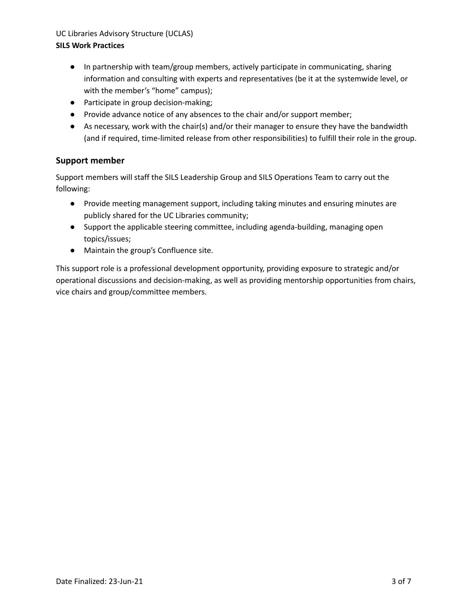#### UC Libraries Advisory Structure (UCLAS)

#### **SILS Work Practices**

- In partnership with team/group members, actively participate in communicating, sharing information and consulting with experts and representatives (be it at the systemwide level, or with the member's "home" campus);
- Participate in group decision-making;
- Provide advance notice of any absences to the chair and/or support member;
- As necessary, work with the chair(s) and/or their manager to ensure they have the bandwidth (and if required, time-limited release from other responsibilities) to fulfill their role in the group.

## **Support member**

Support members will staff the SILS Leadership Group and SILS Operations Team to carry out the following:

- Provide meeting management support, including taking minutes and ensuring minutes are publicly shared for the UC Libraries community;
- Support the applicable steering committee, including agenda-building, managing open topics/issues;
- Maintain the group's Confluence site.

This support role is a professional development opportunity, providing exposure to strategic and/or operational discussions and decision-making, as well as providing mentorship opportunities from chairs, vice chairs and group/committee members.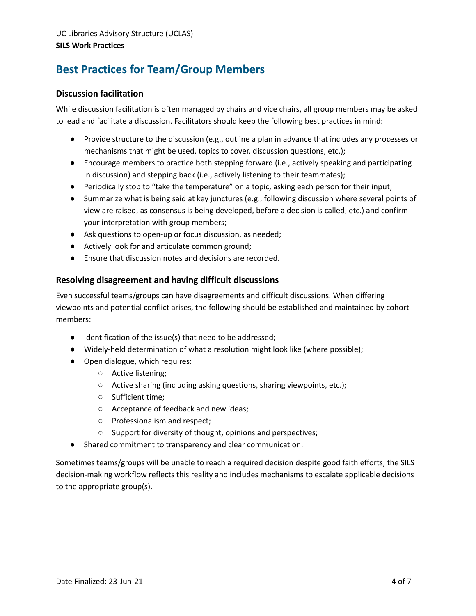# <span id="page-5-0"></span>**Best Practices for Team/Group Members**

## **Discussion facilitation**

While discussion facilitation is often managed by chairs and vice chairs, all group members may be asked to lead and facilitate a discussion. Facilitators should keep the following best practices in mind:

- Provide structure to the discussion (e.g., outline a plan in advance that includes any processes or mechanisms that might be used, topics to cover, discussion questions, etc.);
- Encourage members to practice both stepping forward (i.e., actively speaking and participating in discussion) and stepping back (i.e., actively listening to their teammates);
- Periodically stop to "take the temperature" on a topic, asking each person for their input;
- Summarize what is being said at key junctures (e.g., following discussion where several points of view are raised, as consensus is being developed, before a decision is called, etc.) and confirm your interpretation with group members;
- Ask questions to open-up or focus discussion, as needed;
- Actively look for and articulate common ground;
- Ensure that discussion notes and decisions are recorded.

#### **Resolving disagreement and having difficult discussions**

Even successful teams/groups can have disagreements and difficult discussions. When differing viewpoints and potential conflict arises, the following should be established and maintained by cohort members:

- Identification of the issue(s) that need to be addressed;
- Widely-held determination of what a resolution might look like (where possible);
- Open dialogue, which requires:
	- Active listening;
	- Active sharing (including asking questions, sharing viewpoints, etc.);
	- Sufficient time;
	- Acceptance of feedback and new ideas;
	- Professionalism and respect;
	- Support for diversity of thought, opinions and perspectives;
- Shared commitment to transparency and clear communication.

Sometimes teams/groups will be unable to reach a required decision despite good faith efforts; the SILS decision-making workflow reflects this reality and includes mechanisms to escalate applicable decisions to the appropriate group(s).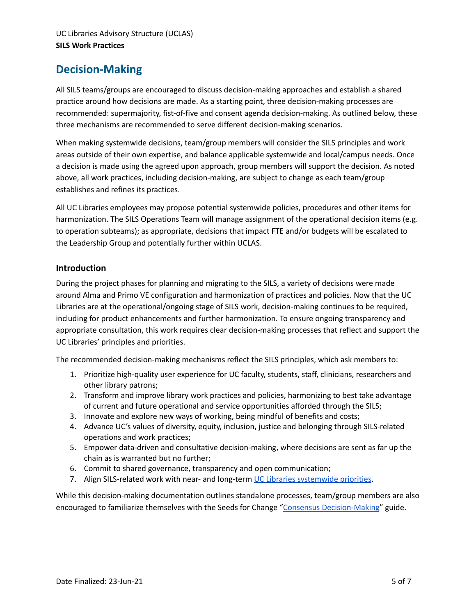## <span id="page-6-0"></span>**Decision-Making**

All SILS teams/groups are encouraged to discuss decision-making approaches and establish a shared practice around how decisions are made. As a starting point, three decision-making processes are recommended: supermajority, fist-of-five and consent agenda decision-making. As outlined below, these three mechanisms are recommended to serve different decision-making scenarios.

When making systemwide decisions, team/group members will consider the SILS principles and work areas outside of their own expertise, and balance applicable systemwide and local/campus needs. Once a decision is made using the agreed upon approach, group members will support the decision. As noted above, all work practices, including decision-making, are subject to change as each team/group establishes and refines its practices.

All UC Libraries employees may propose potential systemwide policies, procedures and other items for harmonization. The SILS Operations Team will manage assignment of the operational decision items (e.g. to operation subteams); as appropriate, decisions that impact FTE and/or budgets will be escalated to the Leadership Group and potentially further within UCLAS.

#### **Introduction**

During the project phases for planning and migrating to the SILS, a variety of decisions were made around Alma and Primo VE configuration and harmonization of practices and policies. Now that the UC Libraries are at the operational/ongoing stage of SILS work, decision-making continues to be required, including for product enhancements and further harmonization. To ensure ongoing transparency and appropriate consultation, this work requires clear decision-making processes that reflect and support the UC Libraries' principles and priorities.

The recommended decision-making mechanisms reflect the SILS principles, which ask members to:

- 1. Prioritize high-quality user experience for UC faculty, students, staff, clinicians, researchers and other library patrons;
- 2. Transform and improve library work practices and policies, harmonizing to best take advantage of current and future operational and service opportunities afforded through the SILS;
- 3. Innovate and explore new ways of working, being mindful of benefits and costs;
- 4. Advance UC's values of diversity, equity, inclusion, justice and belonging through SILS-related operations and work practices;
- 5. Empower data-driven and consultative decision-making, where decisions are sent as far up the chain as is warranted but no further;
- 6. Commit to shared governance, transparency and open communication;
- 7. Align SILS-related work with near- and long-term UC Libraries [systemwide](https://libraries.universityofcalifornia.edu/about/vision-and-priorities) priorities.

While this decision-making documentation outlines standalone processes, team/group members are also encouraged to familiarize themselves with the Seeds for Change "Consensus [Decision-Making](https://www.seedsforchange.org.uk/shortconsensus)" guide.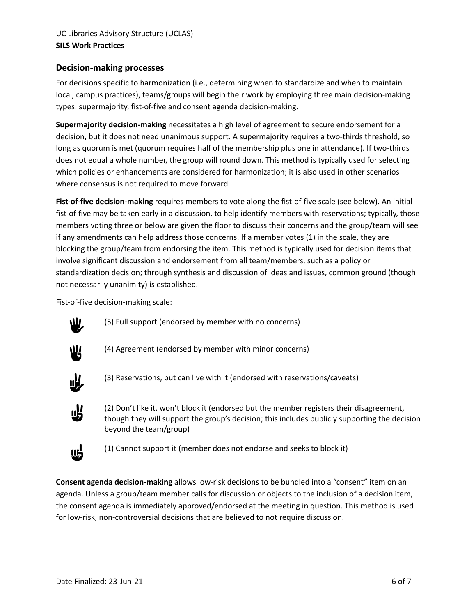## **Decision-making processes**

For decisions specific to harmonization (i.e., determining when to standardize and when to maintain local, campus practices), teams/groups will begin their work by employing three main decision-making types: supermajority, fist-of-five and consent agenda decision-making.

**Supermajority decision-making** necessitates a high level of agreement to secure endorsement for a decision, but it does not need unanimous support. A supermajority requires a two-thirds threshold, so long as quorum is met (quorum requires half of the membership plus one in attendance). If two-thirds does not equal a whole number, the group will round down. This method is typically used for selecting which policies or enhancements are considered for harmonization; it is also used in other scenarios where consensus is not required to move forward.

**Fist-of-five decision-making** requires members to vote along the fist-of-five scale (see below). An initial fist-of-five may be taken early in a discussion, to help identify members with reservations; typically, those members voting three or below are given the floor to discuss their concerns and the group/team will see if any amendments can help address those concerns. If a member votes (1) in the scale, they are blocking the group/team from endorsing the item. This method is typically used for decision items that involve significant discussion and endorsement from all team/members, such as a policy or standardization decision; through synthesis and discussion of ideas and issues, common ground (though not necessarily unanimity) is established.

Fist-of-five decision-making scale:



(5) Full support (endorsed by member with no concerns)



(4) Agreement (endorsed by member with minor concerns)



(3) Reservations, but can live with it (endorsed with reservations/caveats)



(2) Don't like it, won't block it (endorsed but the member registers their disagreement, though they will support the group's decision; this includes publicly supporting the decision beyond the team/group)



(1) Cannot support it (member does not endorse and seeks to block it)

**Consent agenda decision-making** allows low-risk decisions to be bundled into a "consent" item on an agenda. Unless a group/team member calls for discussion or objects to the inclusion of a decision item, the consent agenda is immediately approved/endorsed at the meeting in question. This method is used for low-risk, non-controversial decisions that are believed to not require discussion.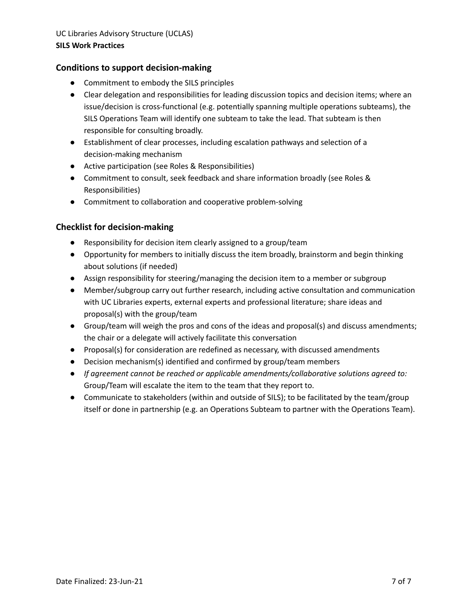## **Conditions to support decision-making**

- Commitment to embody the SILS principles
- Clear delegation and responsibilities for leading discussion topics and decision items; where an issue/decision is cross-functional (e.g. potentially spanning multiple operations subteams), the SILS Operations Team will identify one subteam to take the lead. That subteam is then responsible for consulting broadly.
- Establishment of clear processes, including escalation pathways and selection of a decision-making mechanism
- Active participation (see Roles & Responsibilities)
- Commitment to consult, seek feedback and share information broadly (see Roles & Responsibilities)
- Commitment to collaboration and cooperative problem-solving

## **Checklist for decision-making**

- Responsibility for decision item clearly assigned to a group/team
- Opportunity for members to initially discuss the item broadly, brainstorm and begin thinking about solutions (if needed)
- Assign responsibility for steering/managing the decision item to a member or subgroup
- Member/subgroup carry out further research, including active consultation and communication with UC Libraries experts, external experts and professional literature; share ideas and proposal(s) with the group/team
- Group/team will weigh the pros and cons of the ideas and proposal(s) and discuss amendments; the chair or a delegate will actively facilitate this conversation
- Proposal(s) for consideration are redefined as necessary, with discussed amendments
- Decision mechanism(s) identified and confirmed by group/team members
- *● If agreement cannot be reached or applicable amendments/collaborative solutions agreed to:* Group/Team will escalate the item to the team that they report to.
- Communicate to stakeholders (within and outside of SILS); to be facilitated by the team/group itself or done in partnership (e.g. an Operations Subteam to partner with the Operations Team).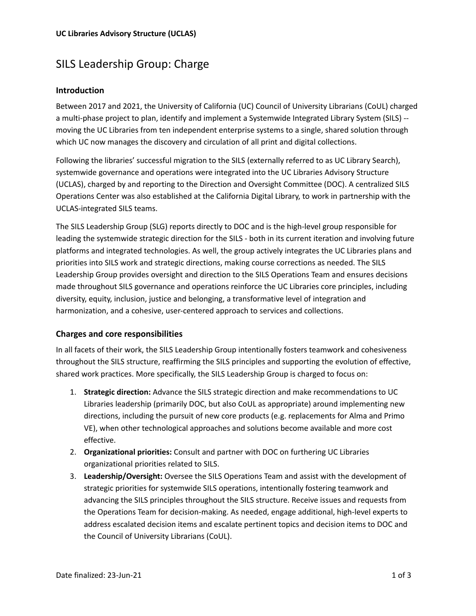# SILS Leadership Group: Charge

## **Introduction**

Between 2017 and 2021, the University of California (UC) Council of University Librarians (CoUL) charged a multi-phase project to plan, identify and implement a Systemwide Integrated Library System (SILS) - moving the UC Libraries from ten independent enterprise systems to a single, shared solution through which UC now manages the discovery and circulation of all print and digital collections.

Following the libraries' successful migration to the SILS (externally referred to as UC Library Search), systemwide governance and operations were integrated into the UC Libraries Advisory Structure (UCLAS), charged by and reporting to the Direction and Oversight Committee (DOC). A centralized SILS Operations Center was also established at the California Digital Library, to work in partnership with the UCLAS-integrated SILS teams.

The SILS Leadership Group (SLG) reports directly to DOC and is the high-level group responsible for leading the systemwide strategic direction for the SILS - both in its current iteration and involving future platforms and integrated technologies. As well, the group actively integrates the UC Libraries plans and priorities into SILS work and strategic directions, making course corrections as needed. The SILS Leadership Group provides oversight and direction to the SILS Operations Team and ensures decisions made throughout SILS governance and operations reinforce the UC Libraries core principles, including diversity, equity, inclusion, justice and belonging, a transformative level of integration and harmonization, and a cohesive, user-centered approach to services and collections.

## **Charges and core responsibilities**

In all facets of their work, the SILS Leadership Group intentionally fosters teamwork and cohesiveness throughout the SILS structure, reaffirming the SILS principles and supporting the evolution of effective, shared work practices. More specifically, the SILS Leadership Group is charged to focus on:

- 1. **Strategic direction:** Advance the SILS strategic direction and make recommendations to UC Libraries leadership (primarily DOC, but also CoUL as appropriate) around implementing new directions, including the pursuit of new core products (e.g. replacements for Alma and Primo VE), when other technological approaches and solutions become available and more cost effective.
- 2. **Organizational priorities:** Consult and partner with DOC on furthering UC Libraries organizational priorities related to SILS.
- 3. **Leadership/Oversight:** Oversee the SILS Operations Team and assist with the development of strategic priorities for systemwide SILS operations, intentionally fostering teamwork and advancing the SILS principles throughout the SILS structure. Receive issues and requests from the Operations Team for decision-making. As needed, engage additional, high-level experts to address escalated decision items and escalate pertinent topics and decision items to DOC and the Council of University Librarians (CoUL).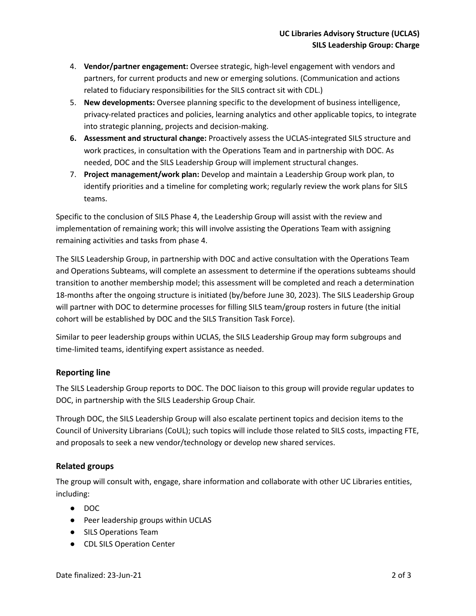- 4. **Vendor/partner engagement:** Oversee strategic, high-level engagement with vendors and partners, for current products and new or emerging solutions. (Communication and actions related to fiduciary responsibilities for the SILS contract sit with CDL.)
- 5. **New developments:** Oversee planning specific to the development of business intelligence, privacy-related practices and policies, learning analytics and other applicable topics, to integrate into strategic planning, projects and decision-making.
- **6. Assessment and structural change:** Proactively assess the UCLAS-integrated SILS structure and work practices, in consultation with the Operations Team and in partnership with DOC. As needed, DOC and the SILS Leadership Group will implement structural changes.
- 7. **Project management/work plan:** Develop and maintain a Leadership Group work plan, to identify priorities and a timeline for completing work; regularly review the work plans for SILS teams.

Specific to the conclusion of SILS Phase 4, the Leadership Group will assist with the review and implementation of remaining work; this will involve assisting the Operations Team with assigning remaining activities and tasks from phase 4.

The SILS Leadership Group, in partnership with DOC and active consultation with the Operations Team and Operations Subteams, will complete an assessment to determine if the operations subteams should transition to another membership model; this assessment will be completed and reach a determination 18-months after the ongoing structure is initiated (by/before June 30, 2023). The SILS Leadership Group will partner with DOC to determine processes for filling SILS team/group rosters in future (the initial cohort will be established by DOC and the SILS Transition Task Force).

Similar to peer leadership groups within UCLAS, the SILS Leadership Group may form subgroups and time-limited teams, identifying expert assistance as needed.

## **Reporting line**

The SILS Leadership Group reports to DOC. The DOC liaison to this group will provide regular updates to DOC, in partnership with the SILS Leadership Group Chair.

Through DOC, the SILS Leadership Group will also escalate pertinent topics and decision items to the Council of University Librarians (CoUL); such topics will include those related to SILS costs, impacting FTE, and proposals to seek a new vendor/technology or develop new shared services.

## **Related groups**

The group will consult with, engage, share information and collaborate with other UC Libraries entities, including:

- DOC
- Peer leadership groups within UCLAS
- SILS Operations Team
- CDL SILS Operation Center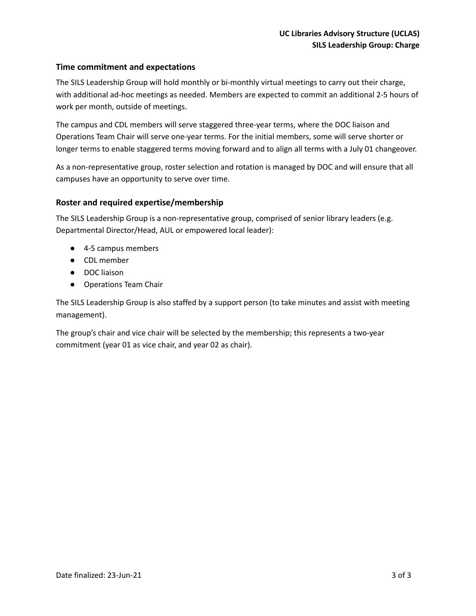## **Time commitment and expectations**

The SILS Leadership Group will hold monthly or bi-monthly virtual meetings to carry out their charge, with additional ad-hoc meetings as needed. Members are expected to commit an additional 2-5 hours of work per month, outside of meetings.

The campus and CDL members will serve staggered three-year terms, where the DOC liaison and Operations Team Chair will serve one-year terms. For the initial members, some will serve shorter or longer terms to enable staggered terms moving forward and to align all terms with a July 01 changeover.

As a non-representative group, roster selection and rotation is managed by DOC and will ensure that all campuses have an opportunity to serve over time.

#### **Roster and required expertise/membership**

The SILS Leadership Group is a non-representative group, comprised of senior library leaders (e.g. Departmental Director/Head, AUL or empowered local leader):

- 4-5 campus members
- CDL member
- DOC liaison
- Operations Team Chair

The SILS Leadership Group is also staffed by a support person (to take minutes and assist with meeting management).

The group's chair and vice chair will be selected by the membership; this represents a two-year commitment (year 01 as vice chair, and year 02 as chair).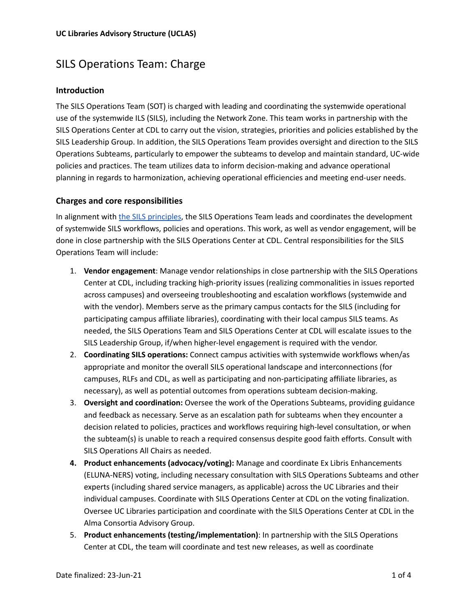## SILS Operations Team: Charge

## **Introduction**

The SILS Operations Team (SOT) is charged with leading and coordinating the systemwide operational use of the systemwide ILS (SILS), including the Network Zone. This team works in partnership with the SILS Operations Center at CDL to carry out the vision, strategies, priorities and policies established by the SILS Leadership Group. In addition, the SILS Operations Team provides oversight and direction to the SILS Operations Subteams, particularly to empower the subteams to develop and maintain standard, UC-wide policies and practices. The team utilizes data to inform decision-making and advance operational planning in regards to harmonization, achieving operational efficiencies and meeting end-user needs.

#### **Charges and core responsibilities**

In alignment with the SILS [principles](https://docs.google.com/document/d/1fomKIju3-xTjfIK6Cy9aQez-lgtXGZO8a78pJnRhcQE/edit?usp=sharing), the SILS Operations Team leads and coordinates the development of systemwide SILS workflows, policies and operations. This work, as well as vendor engagement, will be done in close partnership with the SILS Operations Center at CDL. Central responsibilities for the SILS Operations Team will include:

- 1. **Vendor engagement**: Manage vendor relationships in close partnership with the SILS Operations Center at CDL, including tracking high-priority issues (realizing commonalities in issues reported across campuses) and overseeing troubleshooting and escalation workflows (systemwide and with the vendor). Members serve as the primary campus contacts for the SILS (including for participating campus affiliate libraries), coordinating with their local campus SILS teams. As needed, the SILS Operations Team and SILS Operations Center at CDL will escalate issues to the SILS Leadership Group, if/when higher-level engagement is required with the vendor.
- 2. **Coordinating SILS operations:** Connect campus activities with systemwide workflows when/as appropriate and monitor the overall SILS operational landscape and interconnections (for campuses, RLFs and CDL, as well as participating and non-participating affiliate libraries, as necessary), as well as potential outcomes from operations subteam decision-making.
- 3. **Oversight and coordination:** Oversee the work of the Operations Subteams, providing guidance and feedback as necessary. Serve as an escalation path for subteams when they encounter a decision related to policies, practices and workflows requiring high-level consultation, or when the subteam(s) is unable to reach a required consensus despite good faith efforts. Consult with SILS Operations All Chairs as needed.
- **4. Product enhancements (advocacy/voting):** Manage and coordinate Ex Libris Enhancements (ELUNA-NERS) voting, including necessary consultation with SILS Operations Subteams and other experts (including shared service managers, as applicable) across the UC Libraries and their individual campuses. Coordinate with SILS Operations Center at CDL on the voting finalization. Oversee UC Libraries participation and coordinate with the SILS Operations Center at CDL in the Alma Consortia Advisory Group.
- 5. **Product enhancements (testing/implementation)**: In partnership with the SILS Operations Center at CDL, the team will coordinate and test new releases, as well as coordinate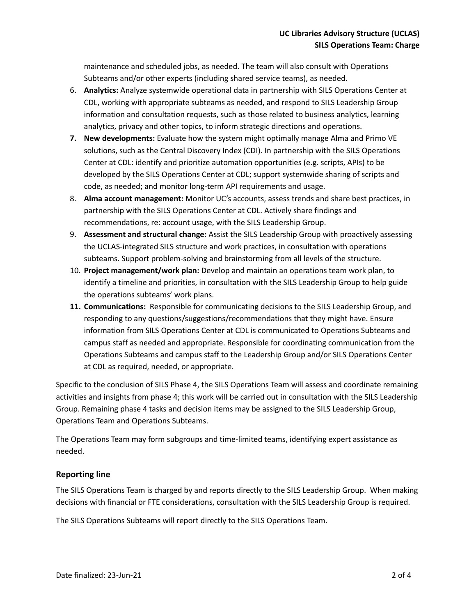maintenance and scheduled jobs, as needed. The team will also consult with Operations Subteams and/or other experts (including shared service teams), as needed.

- 6. **Analytics:** Analyze systemwide operational data in partnership with SILS Operations Center at CDL, working with appropriate subteams as needed, and respond to SILS Leadership Group information and consultation requests, such as those related to business analytics, learning analytics, privacy and other topics, to inform strategic directions and operations.
- **7. New developments:** Evaluate how the system might optimally manage Alma and Primo VE solutions, such as the Central Discovery Index (CDI). In partnership with the SILS Operations Center at CDL: identify and prioritize automation opportunities (e.g. scripts, APIs) to be developed by the SILS Operations Center at CDL; support systemwide sharing of scripts and code, as needed; and monitor long-term API requirements and usage.
- 8. **Alma account management:** Monitor UC's accounts, assess trends and share best practices, in partnership with the SILS Operations Center at CDL. Actively share findings and recommendations, re: account usage, with the SILS Leadership Group.
- 9. **Assessment and structural change:** Assist the SILS Leadership Group with proactively assessing the UCLAS-integrated SILS structure and work practices, in consultation with operations subteams. Support problem-solving and brainstorming from all levels of the structure.
- 10. **Project management/work plan:** Develop and maintain an operations team work plan, to identify a timeline and priorities, in consultation with the SILS Leadership Group to help guide the operations subteams' work plans.
- **11. Communications:** Responsible for communicating decisions to the SILS Leadership Group, and responding to any questions/suggestions/recommendations that they might have. Ensure information from SILS Operations Center at CDL is communicated to Operations Subteams and campus staff as needed and appropriate. Responsible for coordinating communication from the Operations Subteams and campus staff to the Leadership Group and/or SILS Operations Center at CDL as required, needed, or appropriate.

Specific to the conclusion of SILS Phase 4, the SILS Operations Team will assess and coordinate remaining activities and insights from phase 4; this work will be carried out in consultation with the SILS Leadership Group. Remaining phase 4 tasks and decision items may be assigned to the SILS Leadership Group, Operations Team and Operations Subteams.

The Operations Team may form subgroups and time-limited teams, identifying expert assistance as needed.

## **Reporting line**

The SILS Operations Team is charged by and reports directly to the SILS Leadership Group. When making decisions with financial or FTE considerations, consultation with the SILS Leadership Group is required.

The SILS Operations Subteams will report directly to the SILS Operations Team.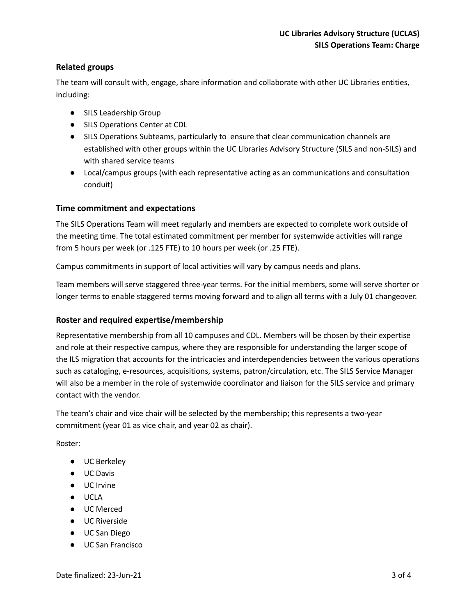## **Related groups**

The team will consult with, engage, share information and collaborate with other UC Libraries entities, including:

- SILS Leadership Group
- SILS Operations Center at CDL
- SILS Operations Subteams, particularly to ensure that clear communication channels are established with other groups within the UC Libraries Advisory Structure (SILS and non-SILS) and with shared service teams
- Local/campus groups (with each representative acting as an communications and consultation conduit)

## **Time commitment and expectations**

The SILS Operations Team will meet regularly and members are expected to complete work outside of the meeting time. The total estimated commitment per member for systemwide activities will range from 5 hours per week (or .125 FTE) to 10 hours per week (or .25 FTE).

Campus commitments in support of local activities will vary by campus needs and plans.

Team members will serve staggered three-year terms. For the initial members, some will serve shorter or longer terms to enable staggered terms moving forward and to align all terms with a July 01 changeover.

## **Roster and required expertise/membership**

Representative membership from all 10 campuses and CDL. Members will be chosen by their expertise and role at their respective campus, where they are responsible for understanding the larger scope of the ILS migration that accounts for the intricacies and interdependencies between the various operations such as cataloging, e-resources, acquisitions, systems, patron/circulation, etc. The SILS Service Manager will also be a member in the role of systemwide coordinator and liaison for the SILS service and primary contact with the vendor.

The team's chair and vice chair will be selected by the membership; this represents a two-year commitment (year 01 as vice chair, and year 02 as chair).

Roster:

- UC Berkeley
- UC Davis
- UC Irvine
- UCLA
- UC Merced
- UC Riverside
- UC San Diego
- UC San Francisco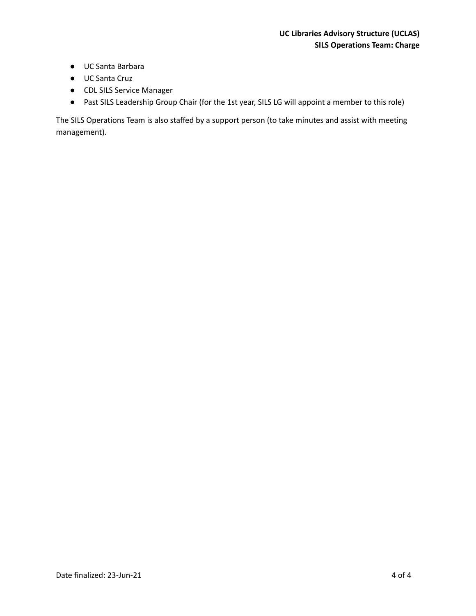- UC Santa Barbara
- UC Santa Cruz
- CDL SILS Service Manager
- Past SILS Leadership Group Chair (for the 1st year, SILS LG will appoint a member to this role)

The SILS Operations Team is also staffed by a support person (to take minutes and assist with meeting management).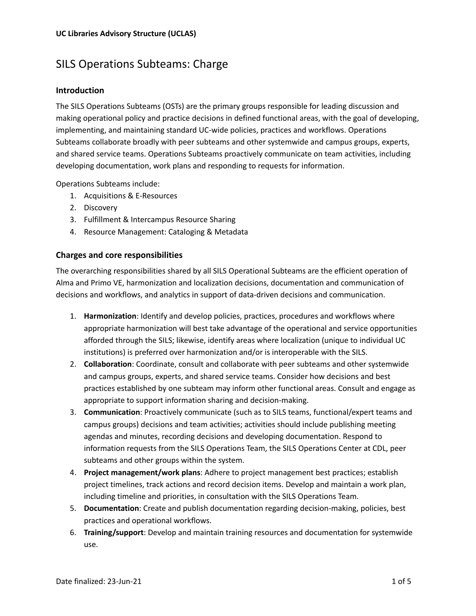# SILS Operations Subteams: Charge

### **Introduction**

The SILS Operations Subteams (OSTs) are the primary groups responsible for leading discussion and making operational policy and practice decisions in defined functional areas, with the goal of developing, implementing, and maintaining standard UC-wide policies, practices and workflows. Operations Subteams collaborate broadly with peer subteams and other systemwide and campus groups, experts, and shared service teams. Operations Subteams proactively communicate on team activities, including developing documentation, work plans and responding to requests for information.

Operations Subteams include:

- 1. Acquisitions & E-Resources
- 2. Discovery
- 3. Fulfillment & Intercampus Resource Sharing
- 4. Resource Management: Cataloging & Metadata

#### **Charges and core responsibilities**

The overarching responsibilities shared by all SILS Operational Subteams are the efficient operation of Alma and Primo VE, harmonization and localization decisions, documentation and communication of decisions and workflows, and analytics in support of data-driven decisions and communication.

- 1. **Harmonization**: Identify and develop policies, practices, procedures and workflows where appropriate harmonization will best take advantage of the operational and service opportunities afforded through the SILS; likewise, identify areas where localization (unique to individual UC institutions) is preferred over harmonization and/or is interoperable with the SILS.
- 2. **Collaboration**: Coordinate, consult and collaborate with peer subteams and other systemwide and campus groups, experts, and shared service teams. Consider how decisions and best practices established by one subteam may inform other functional areas. Consult and engage as appropriate to support information sharing and decision-making.
- 3. **Communication**: Proactively communicate (such as to SILS teams, functional/expert teams and campus groups) decisions and team activities; activities should include publishing meeting agendas and minutes, recording decisions and developing documentation. Respond to information requests from the SILS Operations Team, the SILS Operations Center at CDL, peer subteams and other groups within the system.
- 4. **Project management/work plans**: Adhere to project management best practices; establish project timelines, track actions and record decision items. Develop and maintain a work plan, including timeline and priorities, in consultation with the SILS Operations Team.
- 5. **Documentation**: Create and publish documentation regarding decision-making, policies, best practices and operational workflows.
- 6. **Training/support**: Develop and maintain training resources and documentation for systemwide use.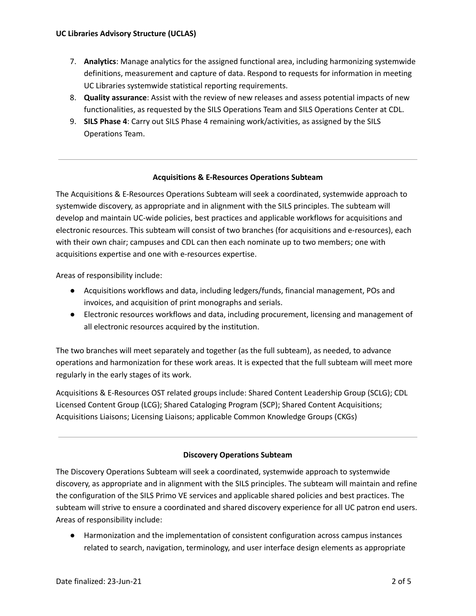- 7. **Analytics**: Manage analytics for the assigned functional area, including harmonizing systemwide definitions, measurement and capture of data. Respond to requests for information in meeting UC Libraries systemwide statistical reporting requirements.
- 8. **Quality assurance**: Assist with the review of new releases and assess potential impacts of new functionalities, as requested by the SILS Operations Team and SILS Operations Center at CDL.
- 9. **SILS Phase 4**: Carry out SILS Phase 4 remaining work/activities, as assigned by the SILS Operations Team.

#### **Acquisitions & E-Resources Operations Subteam**

The Acquisitions & E-Resources Operations Subteam will seek a coordinated, systemwide approach to systemwide discovery, as appropriate and in alignment with the SILS principles. The subteam will develop and maintain UC-wide policies, best practices and applicable workflows for acquisitions and electronic resources. This subteam will consist of two branches (for acquisitions and e-resources), each with their own chair; campuses and CDL can then each nominate up to two members; one with acquisitions expertise and one with e-resources expertise.

Areas of responsibility include:

- Acquisitions workflows and data, including ledgers/funds, financial management, POs and invoices, and acquisition of print monographs and serials.
- Electronic resources workflows and data, including procurement, licensing and management of all electronic resources acquired by the institution.

The two branches will meet separately and together (as the full subteam), as needed, to advance operations and harmonization for these work areas. It is expected that the full subteam will meet more regularly in the early stages of its work.

Acquisitions & E-Resources OST related groups include: Shared Content Leadership Group (SCLG); CDL Licensed Content Group (LCG); Shared Cataloging Program (SCP); Shared Content Acquisitions; Acquisitions Liaisons; Licensing Liaisons; applicable Common Knowledge Groups (CKGs)

## **Discovery Operations Subteam**

The Discovery Operations Subteam will seek a coordinated, systemwide approach to systemwide discovery, as appropriate and in alignment with the SILS principles. The subteam will maintain and refine the configuration of the SILS Primo VE services and applicable shared policies and best practices. The subteam will strive to ensure a coordinated and shared discovery experience for all UC patron end users. Areas of responsibility include:

● Harmonization and the implementation of consistent configuration across campus instances related to search, navigation, terminology, and user interface design elements as appropriate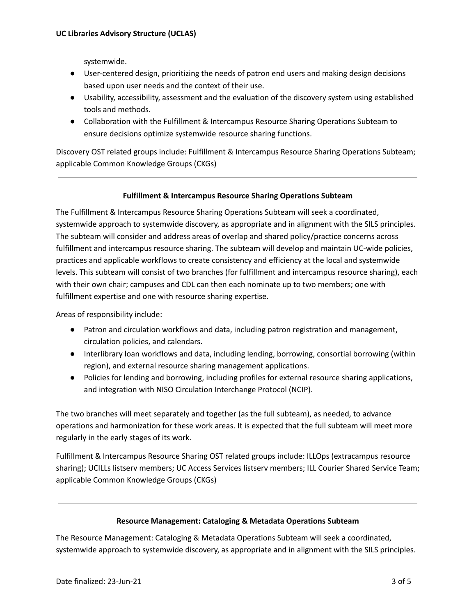systemwide.

- User-centered design, prioritizing the needs of patron end users and making design decisions based upon user needs and the context of their use.
- Usability, accessibility, assessment and the evaluation of the discovery system using established tools and methods.
- Collaboration with the Fulfillment & Intercampus Resource Sharing Operations Subteam to ensure decisions optimize systemwide resource sharing functions.

Discovery OST related groups include: Fulfillment & Intercampus Resource Sharing Operations Subteam; applicable Common Knowledge Groups (CKGs)

#### **Fulfillment & Intercampus Resource Sharing Operations Subteam**

The Fulfillment & Intercampus Resource Sharing Operations Subteam will seek a coordinated, systemwide approach to systemwide discovery, as appropriate and in alignment with the SILS principles. The subteam will consider and address areas of overlap and shared policy/practice concerns across fulfillment and intercampus resource sharing. The subteam will develop and maintain UC-wide policies, practices and applicable workflows to create consistency and efficiency at the local and systemwide levels. This subteam will consist of two branches (for fulfillment and intercampus resource sharing), each with their own chair; campuses and CDL can then each nominate up to two members; one with fulfillment expertise and one with resource sharing expertise.

Areas of responsibility include:

- Patron and circulation workflows and data, including patron registration and management, circulation policies, and calendars.
- Interlibrary loan workflows and data, including lending, borrowing, consortial borrowing (within region), and external resource sharing management applications.
- Policies for lending and borrowing, including profiles for external resource sharing applications, and integration with NISO Circulation Interchange Protocol (NCIP).

The two branches will meet separately and together (as the full subteam), as needed, to advance operations and harmonization for these work areas. It is expected that the full subteam will meet more regularly in the early stages of its work.

Fulfillment & Intercampus Resource Sharing OST related groups include: ILLOps (extracampus resource sharing); UCILLs listserv members; UC Access Services listserv members; ILL Courier Shared Service Team; applicable Common Knowledge Groups (CKGs)

#### **Resource Management: Cataloging & Metadata Operations Subteam**

The Resource Management: Cataloging & Metadata Operations Subteam will seek a coordinated, systemwide approach to systemwide discovery, as appropriate and in alignment with the SILS principles.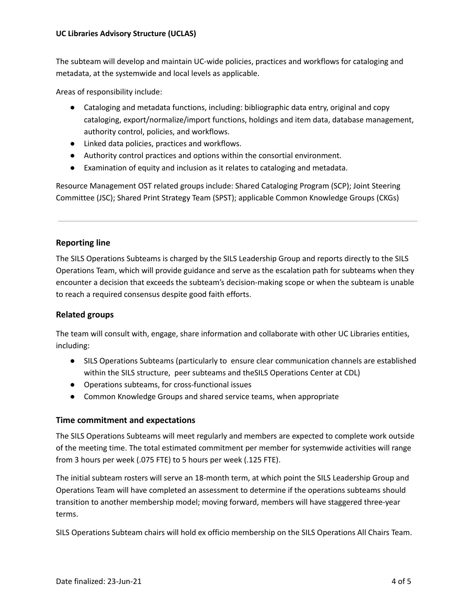The subteam will develop and maintain UC-wide policies, practices and workflows for cataloging and metadata, at the systemwide and local levels as applicable.

Areas of responsibility include:

- Cataloging and metadata functions, including: bibliographic data entry, original and copy cataloging, export/normalize/import functions, holdings and item data, database management, authority control, policies, and workflows.
- Linked data policies, practices and workflows.
- Authority control practices and options within the consortial environment.
- Examination of equity and inclusion as it relates to cataloging and metadata.

Resource Management OST related groups include: Shared Cataloging Program (SCP); Joint Steering Committee (JSC); Shared Print Strategy Team (SPST); applicable Common Knowledge Groups (CKGs)

#### **Reporting line**

The SILS Operations Subteams is charged by the SILS Leadership Group and reports directly to the SILS Operations Team, which will provide guidance and serve as the escalation path for subteams when they encounter a decision that exceeds the subteam's decision-making scope or when the subteam is unable to reach a required consensus despite good faith efforts.

## **Related groups**

The team will consult with, engage, share information and collaborate with other UC Libraries entities, including:

- SILS Operations Subteams (particularly to ensure clear communication channels are established within the SILS structure, peer subteams and theSILS Operations Center at CDL)
- Operations subteams, for cross-functional issues
- Common Knowledge Groups and shared service teams, when appropriate

#### **Time commitment and expectations**

The SILS Operations Subteams will meet regularly and members are expected to complete work outside of the meeting time. The total estimated commitment per member for systemwide activities will range from 3 hours per week (.075 FTE) to 5 hours per week (.125 FTE).

The initial subteam rosters will serve an 18-month term, at which point the SILS Leadership Group and Operations Team will have completed an assessment to determine if the operations subteams should transition to another membership model; moving forward, members will have staggered three-year terms.

SILS Operations Subteam chairs will hold ex officio membership on the SILS Operations All Chairs Team.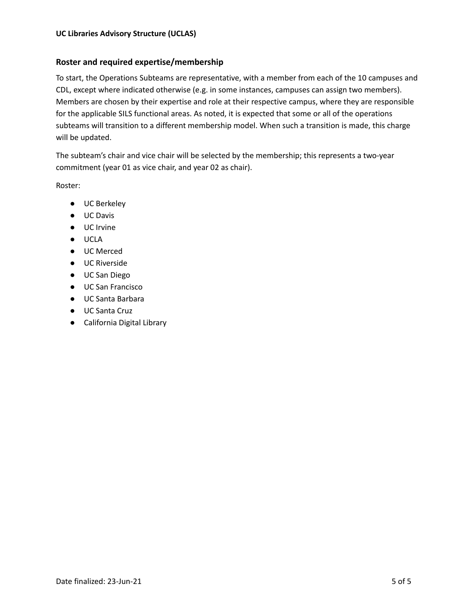## **Roster and required expertise/membership**

To start, the Operations Subteams are representative, with a member from each of the 10 campuses and CDL, except where indicated otherwise (e.g. in some instances, campuses can assign two members). Members are chosen by their expertise and role at their respective campus, where they are responsible for the applicable SILS functional areas. As noted, it is expected that some or all of the operations subteams will transition to a different membership model. When such a transition is made, this charge will be updated.

The subteam's chair and vice chair will be selected by the membership; this represents a two-year commitment (year 01 as vice chair, and year 02 as chair).

Roster:

- UC Berkeley
- UC Davis
- UC Irvine
- UCLA
- UC Merced
- UC Riverside
- UC San Diego
- UC San Francisco
- UC Santa Barbara
- UC Santa Cruz
- California Digital Library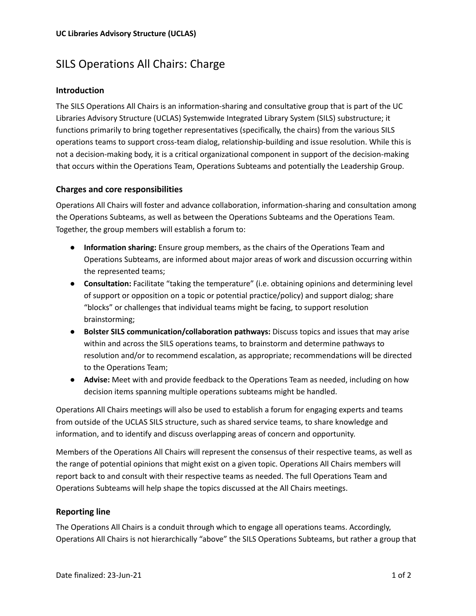## SILS Operations All Chairs: Charge

## **Introduction**

The SILS Operations All Chairs is an information-sharing and consultative group that is part of the UC Libraries Advisory Structure (UCLAS) Systemwide Integrated Library System (SILS) substructure; it functions primarily to bring together representatives (specifically, the chairs) from the various SILS operations teams to support cross-team dialog, relationship-building and issue resolution. While this is not a decision-making body, it is a critical organizational component in support of the decision-making that occurs within the Operations Team, Operations Subteams and potentially the Leadership Group.

#### **Charges and core responsibilities**

Operations All Chairs will foster and advance collaboration, information-sharing and consultation among the Operations Subteams, as well as between the Operations Subteams and the Operations Team. Together, the group members will establish a forum to:

- **Information sharing:** Ensure group members, as the chairs of the Operations Team and Operations Subteams, are informed about major areas of work and discussion occurring within the represented teams;
- **Consultation:** Facilitate "taking the temperature" (i.e. obtaining opinions and determining level of support or opposition on a topic or potential practice/policy) and support dialog; share "blocks" or challenges that individual teams might be facing, to support resolution brainstorming;
- **Bolster SILS communication/collaboration pathways:** Discuss topics and issues that may arise within and across the SILS operations teams, to brainstorm and determine pathways to resolution and/or to recommend escalation, as appropriate; recommendations will be directed to the Operations Team;
- **Advise:** Meet with and provide feedback to the Operations Team as needed, including on how decision items spanning multiple operations subteams might be handled.

Operations All Chairs meetings will also be used to establish a forum for engaging experts and teams from outside of the UCLAS SILS structure, such as shared service teams, to share knowledge and information, and to identify and discuss overlapping areas of concern and opportunity.

Members of the Operations All Chairs will represent the consensus of their respective teams, as well as the range of potential opinions that might exist on a given topic. Operations All Chairs members will report back to and consult with their respective teams as needed. The full Operations Team and Operations Subteams will help shape the topics discussed at the All Chairs meetings.

## **Reporting line**

The Operations All Chairs is a conduit through which to engage all operations teams. Accordingly, Operations All Chairs is not hierarchically "above" the SILS Operations Subteams, but rather a group that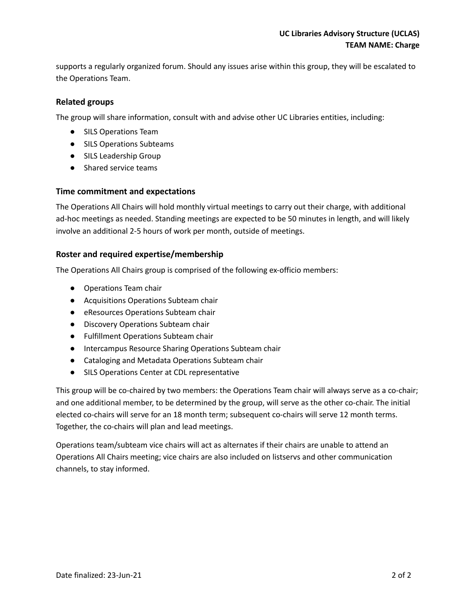supports a regularly organized forum. Should any issues arise within this group, they will be escalated to the Operations Team.

## **Related groups**

The group will share information, consult with and advise other UC Libraries entities, including:

- SILS Operations Team
- SILS Operations Subteams
- SILS Leadership Group
- Shared service teams

## **Time commitment and expectations**

The Operations All Chairs will hold monthly virtual meetings to carry out their charge, with additional ad-hoc meetings as needed. Standing meetings are expected to be 50 minutes in length, and will likely involve an additional 2-5 hours of work per month, outside of meetings.

#### **Roster and required expertise/membership**

The Operations All Chairs group is comprised of the following ex-officio members:

- Operations Team chair
- Acquisitions Operations Subteam chair
- eResources Operations Subteam chair
- Discovery Operations Subteam chair
- Fulfillment Operations Subteam chair
- Intercampus Resource Sharing Operations Subteam chair
- Cataloging and Metadata Operations Subteam chair
- SILS Operations Center at CDL representative

This group will be co-chaired by two members: the Operations Team chair will always serve as a co-chair; and one additional member, to be determined by the group, will serve as the other co-chair. The initial elected co-chairs will serve for an 18 month term; subsequent co-chairs will serve 12 month terms. Together, the co-chairs will plan and lead meetings.

Operations team/subteam vice chairs will act as alternates if their chairs are unable to attend an Operations All Chairs meeting; vice chairs are also included on listservs and other communication channels, to stay informed.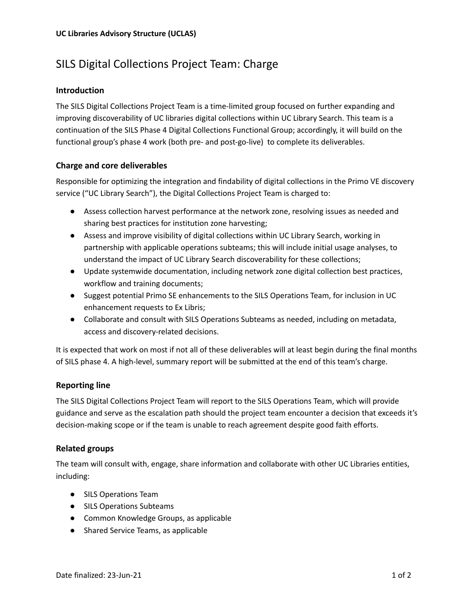# SILS Digital Collections Project Team: Charge

## **Introduction**

The SILS Digital Collections Project Team is a time-limited group focused on further expanding and improving discoverability of UC libraries digital collections within UC Library Search. This team is a continuation of the SILS Phase 4 Digital Collections Functional Group; accordingly, it will build on the functional group's phase 4 work (both pre- and post-go-live) to complete its deliverables.

## **Charge and core deliverables**

Responsible for optimizing the integration and findability of digital collections in the Primo VE discovery service ("UC Library Search"), the Digital Collections Project Team is charged to:

- Assess collection harvest performance at the network zone, resolving issues as needed and sharing best practices for institution zone harvesting;
- Assess and improve visibility of digital collections within UC Library Search, working in partnership with applicable operations subteams; this will include initial usage analyses, to understand the impact of UC Library Search discoverability for these collections;
- Update systemwide documentation, including network zone digital collection best practices, workflow and training documents;
- Suggest potential Primo SE enhancements to the SILS Operations Team, for inclusion in UC enhancement requests to Ex Libris;
- Collaborate and consult with SILS Operations Subteams as needed, including on metadata, access and discovery-related decisions.

It is expected that work on most if not all of these deliverables will at least begin during the final months of SILS phase 4. A high-level, summary report will be submitted at the end of this team's charge.

## **Reporting line**

The SILS Digital Collections Project Team will report to the SILS Operations Team, which will provide guidance and serve as the escalation path should the project team encounter a decision that exceeds it's decision-making scope or if the team is unable to reach agreement despite good faith efforts.

## **Related groups**

The team will consult with, engage, share information and collaborate with other UC Libraries entities, including:

- SILS Operations Team
- SILS Operations Subteams
- Common Knowledge Groups, as applicable
- Shared Service Teams, as applicable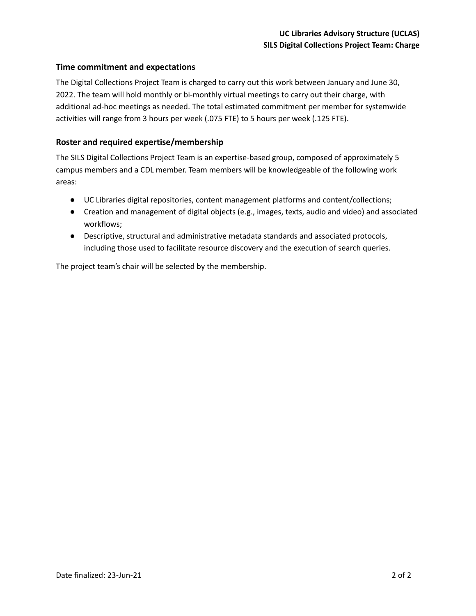## **Time commitment and expectations**

The Digital Collections Project Team is charged to carry out this work between January and June 30, 2022. The team will hold monthly or bi-monthly virtual meetings to carry out their charge, with additional ad-hoc meetings as needed. The total estimated commitment per member for systemwide activities will range from 3 hours per week (.075 FTE) to 5 hours per week (.125 FTE).

## **Roster and required expertise/membership**

The SILS Digital Collections Project Team is an expertise-based group, composed of approximately 5 campus members and a CDL member. Team members will be knowledgeable of the following work areas:

- UC Libraries digital repositories, content management platforms and content/collections;
- Creation and management of digital objects (e.g., images, texts, audio and video) and associated workflows;
- Descriptive, structural and administrative metadata standards and associated protocols, including those used to facilitate resource discovery and the execution of search queries.

The project team's chair will be selected by the membership.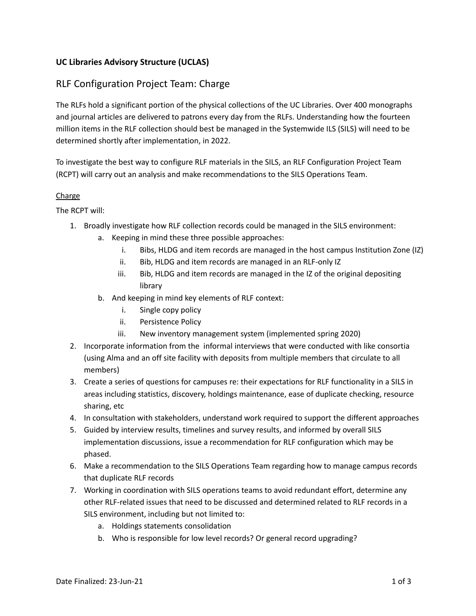## **UC Libraries Advisory Structure (UCLAS)**

## RLF Configuration Project Team: Charge

The RLFs hold a significant portion of the physical collections of the UC Libraries. Over 400 monographs and journal articles are delivered to patrons every day from the RLFs. Understanding how the fourteen million items in the RLF collection should best be managed in the Systemwide ILS (SILS) will need to be determined shortly after implementation, in 2022.

To investigate the best way to configure RLF materials in the SILS, an RLF Configuration Project Team (RCPT) will carry out an analysis and make recommendations to the SILS Operations Team.

#### **Charge**

The RCPT will:

- 1. Broadly investigate how RLF collection records could be managed in the SILS environment:
	- a. Keeping in mind these three possible approaches:
		- i. Bibs, HLDG and item records are managed in the host campus Institution Zone (IZ)
		- ii. Bib, HLDG and item records are managed in an RLF-only IZ
		- iii. Bib, HLDG and item records are managed in the IZ of the original depositing library
	- b. And keeping in mind key elements of RLF context:
		- i. Single copy policy
		- ii. Persistence Policy
		- iii. New inventory management system (implemented spring 2020)
- 2. Incorporate information from the informal interviews that were conducted with like consortia (using Alma and an off site facility with deposits from multiple members that circulate to all members)
- 3. Create a series of questions for campuses re: their expectations for RLF functionality in a SILS in areas including statistics, discovery, holdings maintenance, ease of duplicate checking, resource sharing, etc
- 4. In consultation with stakeholders, understand work required to support the different approaches
- 5. Guided by interview results, timelines and survey results, and informed by overall SILS implementation discussions, issue a recommendation for RLF configuration which may be phased.
- 6. Make a recommendation to the SILS Operations Team regarding how to manage campus records that duplicate RLF records
- 7. Working in coordination with SILS operations teams to avoid redundant effort, determine any other RLF-related issues that need to be discussed and determined related to RLF records in a SILS environment, including but not limited to:
	- a. Holdings statements consolidation
	- b. Who is responsible for low level records? Or general record upgrading?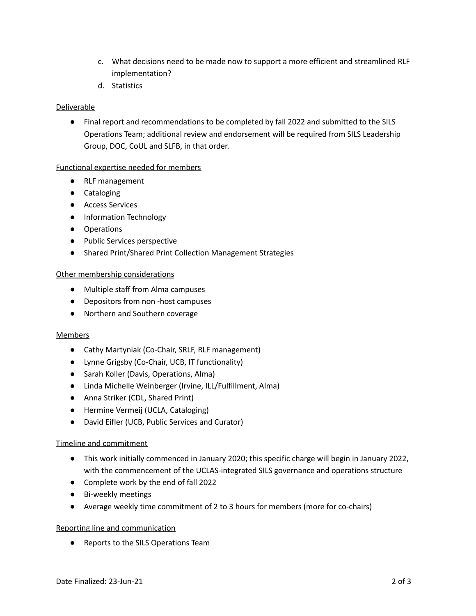- c. What decisions need to be made now to support a more efficient and streamlined RLF implementation?
- d. Statistics

### **Deliverable**

● Final report and recommendations to be completed by fall 2022 and submitted to the SILS Operations Team; additional review and endorsement will be required from SILS Leadership Group, DOC, CoUL and SLFB, in that order.

#### Functional expertise needed for members

- RLF management
- Cataloging
- Access Services
- Information Technology
- Operations
- Public Services perspective
- Shared Print/Shared Print Collection Management Strategies

#### Other membership considerations

- Multiple staff from Alma campuses
- Depositors from non -host campuses
- Northern and Southern coverage

#### Members

- Cathy Martyniak (Co-Chair, SRLF, RLF management)
- Lynne Grigsby (Co-Chair, UCB, IT functionality)
- Sarah Koller (Davis, Operations, Alma)
- Linda Michelle Weinberger (Irvine, ILL/Fulfillment, Alma)
- Anna Striker (CDL, Shared Print)
- Hermine Vermeij (UCLA, Cataloging)
- David Eifler (UCB, Public Services and Curator)

## Timeline and commitment

- This work initially commenced in January 2020; this specific charge will begin in January 2022, with the commencement of the UCLAS-integrated SILS governance and operations structure
- Complete work by the end of fall 2022
- Bi-weekly meetings
- Average weekly time commitment of 2 to 3 hours for members (more for co-chairs)

#### Reporting line and communication

● Reports to the SILS Operations Team